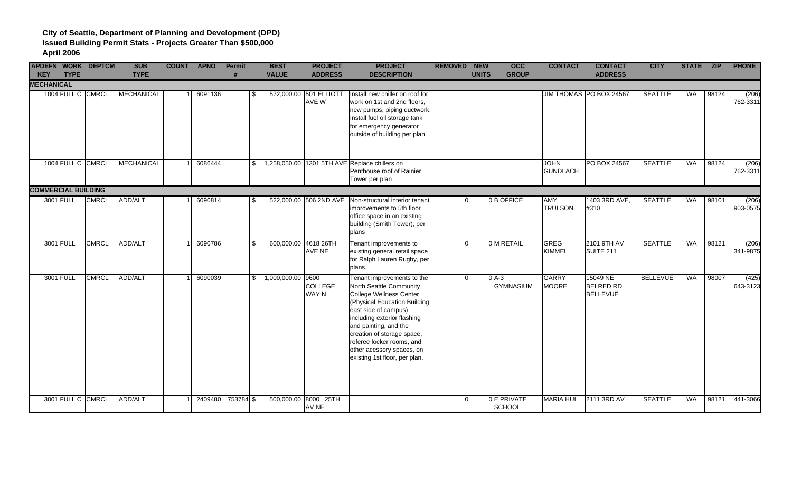|                                 |             | <b>APDEFN WORK DEPTCM</b> | <b>SUB</b>        | <b>COUNT APNO</b> | <b>Permit</b><br># | <b>BEST</b>          | <b>PROJECT</b>                 | <b>PROJECT</b>                                                                                                                                                                                                                                                                                                             | <b>REMOVED NEW</b> |              | <b>OCC</b>                  | <b>CONTACT</b>                 | <b>CONTACT</b>                                  | <b>CITY</b>     | STATE ZIP |       | <b>PHONE</b>      |
|---------------------------------|-------------|---------------------------|-------------------|-------------------|--------------------|----------------------|--------------------------------|----------------------------------------------------------------------------------------------------------------------------------------------------------------------------------------------------------------------------------------------------------------------------------------------------------------------------|--------------------|--------------|-----------------------------|--------------------------------|-------------------------------------------------|-----------------|-----------|-------|-------------------|
| <b>KEY</b><br><b>MECHANICAL</b> | <b>TYPE</b> |                           | <b>TYPE</b>       |                   |                    | <b>VALUE</b>         | <b>ADDRESS</b>                 | <b>DESCRIPTION</b>                                                                                                                                                                                                                                                                                                         |                    | <b>UNITS</b> | <b>GROUP</b>                |                                | <b>ADDRESS</b>                                  |                 |           |       |                   |
|                                 |             | 1004 FULL C CMRCL         | <b>MECHANICAL</b> | 6091136           | S.                 | 572,000.00           | 501 ELLIOTT<br>AVE W           | Install new chiller on roof for<br>work on 1st and 2nd floors,<br>new pumps, piping ductwork,<br>Install fuel oil storage tank<br>for emergency generator<br>outside of building per plan                                                                                                                                  |                    |              |                             |                                | JIM THOMAS   PO BOX 24567                       | <b>SEATTLE</b>  | <b>WA</b> | 98124 | (206)<br>762-3311 |
|                                 |             | 1004 FULL C CMRCL         | MECHANICAL        | 6086444           |                    |                      |                                | \$1,258,050.00 1301 5TH AVE Replace chillers on<br>Penthouse roof of Rainier<br>Tower per plan                                                                                                                                                                                                                             |                    |              |                             | <b>JOHN</b><br><b>GUNDLACH</b> | PO BOX 24567                                    | <b>SEATTLE</b>  | <b>WA</b> | 98124 | (206)<br>762-3311 |
| <b>COMMERCIAL BUILDING</b>      |             |                           |                   |                   |                    |                      |                                |                                                                                                                                                                                                                                                                                                                            |                    |              |                             |                                |                                                 |                 |           |       |                   |
|                                 | 3001 FULL   | <b>CMRCL</b>              | ADD/ALT           | 6090814           | -SS                |                      | 522,000.00 506 2ND AVE         | Non-structural interior tenant<br>improvements to 5th floor<br>office space in an existing<br>building (Smith Tower), per<br>plans                                                                                                                                                                                         |                    |              | 0B OFFICE                   | <b>AMY</b><br><b>TRULSON</b>   | 1403 3RD AVE,<br>#310                           | <b>SEATTLE</b>  | <b>WA</b> | 98101 | (206)<br>903-0575 |
|                                 | 3001 FULL   | <b>CMRCL</b>              | ADD/ALT           | 6090786           | \$                 | 600,000.00 4618 26TH | <b>AVE NE</b>                  | Tenant improvements to<br>existing general retail space<br>for Ralph Lauren Rugby, per<br>plans.                                                                                                                                                                                                                           | $\Omega$           |              | 0 M RETAIL                  | <b>GREG</b><br><b>KIMMEL</b>   | 2101 9TH AV<br>SUITE <sub>211</sub>             | <b>SEATTLE</b>  | WA        | 98121 | (206)<br>341-9875 |
|                                 | 3001 FULL   | <b>CMRCL</b>              | ADD/ALT           | 6090039           |                    | $$1,000,000.00$ 9600 | <b>COLLEGE</b><br><b>WAY N</b> | Tenant improvements to the<br>North Seattle Community<br>College Wellness Center<br>(Physical Education Building,<br>east side of campus)<br>including exterior flashing<br>and painting, and the<br>creation of storage space,<br>referee locker rooms, and<br>other acessory spaces, on<br>existing 1st floor, per plan. | $\Omega$           |              | $0$ A-3<br><b>GYMNASIUM</b> | <b>GARRY</b><br><b>MOORE</b>   | 15049 NE<br><b>BELRED RD</b><br><b>BELLEVUE</b> | <b>BELLEVUE</b> | <b>WA</b> | 98007 | (425)<br>643-3123 |
|                                 |             | 3001 FULL C CMRCL         | ADD/ALT           | 2409480           | 753784 \$          |                      | 500,000.00 8000 25TH<br>AV NE  |                                                                                                                                                                                                                                                                                                                            | $\Omega$           |              | 0E PRIVATE<br>SCHOOL        | <b>MARIA HUI</b>               | 2111 3RD AV                                     | <b>SEATTLE</b>  | <b>WA</b> | 98121 | 441-3066          |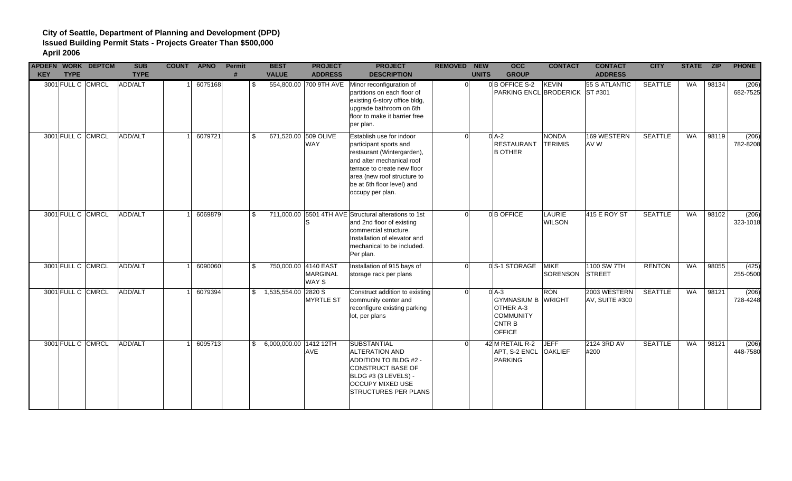| <b>KEY</b> | <b>APDEFN WORK DEPTCM</b><br><b>TYPE</b> | <b>SUB</b><br><b>TYPE</b> | <b>COUNT APNO</b> | <b>Permit</b><br># | <b>BEST</b><br><b>VALUE</b>       | <b>PROJECT</b><br><b>ADDRESS</b> | <b>PROJECT</b><br><b>DESCRIPTION</b>                                                                                                                                                                                          | <b>REMOVED NEW</b> | <b>UNITS</b> | <b>OCC</b><br><b>GROUP</b>                                                                     | <b>CONTACT</b>                 | <b>CONTACT</b><br><b>ADDRESS</b> | <b>CITY</b>    | STATE ZIP |       | <b>PHONE</b>      |
|------------|------------------------------------------|---------------------------|-------------------|--------------------|-----------------------------------|----------------------------------|-------------------------------------------------------------------------------------------------------------------------------------------------------------------------------------------------------------------------------|--------------------|--------------|------------------------------------------------------------------------------------------------|--------------------------------|----------------------------------|----------------|-----------|-------|-------------------|
|            | 3001 FULL C CMRCL                        | ADD/ALT                   | 6075168           | \$                 |                                   |                                  | 554,800.00 700 9TH AVE Minor reconfiguration of<br>partitions on each floor of<br>existing 6-story office bldg,<br>upgrade bathroom on 6th<br>floor to make it barrier free<br>per plan.                                      | $\Omega$           |              | 0B OFFICE S-2<br>PARKING ENCL BRODERICK ST #301                                                | <b>KEVIN</b>                   | 55 S ATLANTIC                    | <b>SEATTLE</b> | <b>WA</b> | 98134 | (206)<br>682-7525 |
|            | 3001 FULL C CMRCL                        | ADD/ALT                   | 6079721           | \$                 | 671,520.00 509 OLIVE              | <b>WAY</b>                       | Establish use for indoor<br>participant sports and<br>restaurant (Wintergarden),<br>and alter mechanical roof<br>terrace to create new floor<br>area (new roof structure to<br>be at 6th floor level) and<br>occupy per plan. | ΩI                 |              | $0$ A-2<br><b>RESTAURANT</b><br><b>B OTHER</b>                                                 | <b>NONDA</b><br><b>TERIMIS</b> | 169 WESTERN<br>AV W              | <b>SEATTLE</b> | <b>WA</b> | 98119 | (206)<br>782-8208 |
|            | 3001 FULL C CMRCL                        | ADD/ALT                   | 6069879           | \$                 |                                   | S                                | 711,000.00 5501 4TH AVE Structural alterations to 1st<br>and 2nd floor of existing<br>commercial structure.<br>Installation of elevator and<br>mechanical to be included.<br>Per plan.                                        | $\Omega$           |              | 0B OFFICE                                                                                      | <b>LAURIE</b><br><b>WILSON</b> | 415 E ROY ST                     | <b>SEATTLE</b> | <b>WA</b> | 98102 | (206)<br>323-1018 |
|            | 3001 FULL C CMRCL                        | ADD/ALT                   | 6090060           | \$                 | 750,000.00 4140 EAST              | <b>MARGINAL</b><br>WAY S         | Installation of 915 bays of<br>storage rack per plans                                                                                                                                                                         | <sub>0</sub>       |              | 0S-1 STORAGE                                                                                   | <b>MIKE</b><br>SORENSON        | 1100 SW 7TH<br>STREET            | <b>RENTON</b>  | <b>WA</b> | 98055 | (425)<br>255-0500 |
|            | 3001 FULL C CMRCL                        | ADD/ALT                   | 6079394           |                    | $\frac{1}{2}$ 1,535,554.00 2820 S | <b>MYRTLE ST</b>                 | Construct addition to existing<br>community center and<br>reconfigure existing parking<br>lot, per plans                                                                                                                      | $\Omega$           |              | $0A-3$<br><b>GYMNASIUM B</b><br>OTHER A-3<br><b>COMMUNITY</b><br><b>CNTRB</b><br><b>OFFICE</b> | <b>RON</b><br><b>WRIGHT</b>    | 2003 WESTERN<br>AV, SUITE #300   | <b>SEATTLE</b> | <b>WA</b> | 98121 | (206)<br>728-4248 |
|            | 3001 FULL C CMRCL                        | ADD/ALT                   | 6095713           |                    | \$ 6.000.000.00 1412 12TH         | <b>AVE</b>                       | SUBSTANTIAL<br><b>ALTERATION AND</b><br>ADDITION TO BLDG #2 -<br><b>CONSTRUCT BASE OF</b><br>BLDG #3 (3 LEVELS) -<br><b>OCCUPY MIXED USE</b><br><b>STRUCTURES PER PLANS</b>                                                   |                    |              | 42 M RETAIL R-2<br>APT, S-2 ENCL<br><b>PARKING</b>                                             | <b>JEFF</b><br><b>OAKLIEF</b>  | 2124 3RD AV<br>#200              | <b>SEATTLE</b> | <b>WA</b> | 98121 | (206)<br>448-7580 |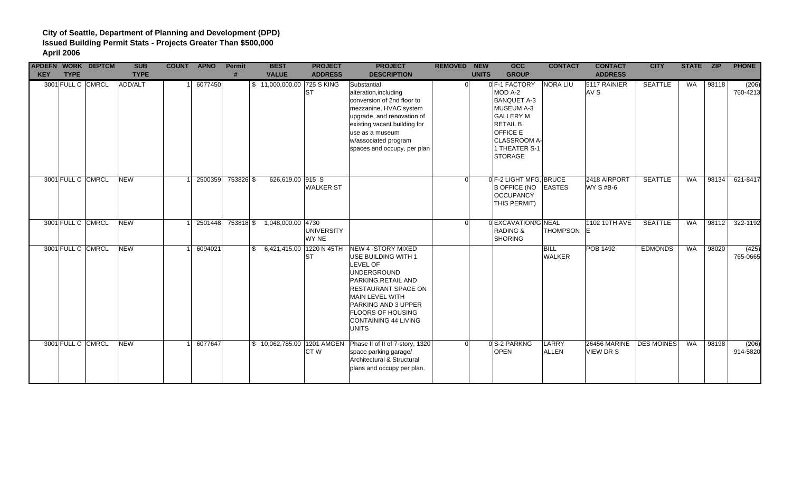| <b>KEY</b> | <b>TYPE</b> | <b>APDEFN WORK DEPTCM</b> | <b>SUB</b><br><b>TYPE</b> | <b>COUNT APNO</b> |         | Permit<br>$\boldsymbol{\mu}$ | <b>BEST</b><br><b>VALUE</b> | <b>PROJECT</b><br><b>ADDRESS</b> | <b>PROJECT</b><br><b>DESCRIPTION</b>                                                                                                                                                                                                                         | <b>REMOVED NEW</b> | <b>UNITS</b> | <b>OCC</b><br><b>GROUP</b>                                                                                                                                                | <b>CONTACT</b>               | <b>CONTACT</b><br><b>ADDRESS</b>              | <b>CITY</b>    | STATE ZIP |       | <b>PHONE</b>      |
|------------|-------------|---------------------------|---------------------------|-------------------|---------|------------------------------|-----------------------------|----------------------------------|--------------------------------------------------------------------------------------------------------------------------------------------------------------------------------------------------------------------------------------------------------------|--------------------|--------------|---------------------------------------------------------------------------------------------------------------------------------------------------------------------------|------------------------------|-----------------------------------------------|----------------|-----------|-------|-------------------|
|            |             | 3001 FULL C CMRCL         | ADD/ALT                   |                   | 6077450 |                              | \$11,000,000.00 725 S KING  | <b>ST</b>                        | Substantial<br>alteration, including<br>conversion of 2nd floor to<br>mezzanine, HVAC system<br>upgrade, and renovation of<br>existing vacant building for<br>use as a museum<br>w/associated program<br>spaces and occupy, per plan                         | $\Omega$           |              | 0 F-1 FACTORY<br>MOD A-2<br><b>BANQUET A-3</b><br>MUSEUM A-3<br><b>GALLERY M</b><br><b>RETAIL B</b><br><b>OFFICE E</b><br>CLASSROOM A-<br>1 THEATER S-1<br><b>STORAGE</b> | <b>NORA LIU</b>              | 5117 RAINIER<br>AV S                          | <b>SEATTLE</b> | WA        | 98118 | (206)<br>760-4213 |
|            |             | 3001 FULL C CMRCL         | <b>NEW</b>                |                   | 2500359 | 753826 \$                    | 626,619.00 915 S            | <b>WALKER ST</b>                 |                                                                                                                                                                                                                                                              | ∩                  |              | 0 F-2 LIGHT MFG, BRUCE<br><b>B OFFICE (NO</b><br><b>OCCUPANCY</b><br>THIS PERMIT)                                                                                         | <b>EASTES</b>                | 2418 AIRPORT<br><b>WY S #B-6</b>              | <b>SEATTLE</b> | <b>WA</b> | 98134 | 621-8417          |
|            |             | 3001 FULL C CMRCL         | <b>NEW</b>                |                   | 2501448 |                              | 753818 \$ 1,048,000.00 4730 | <b>UNIVERSITY</b><br>WY NE       |                                                                                                                                                                                                                                                              | ∩                  |              | 0 EXCAVATION/G NEAL<br><b>RADING &amp;</b><br>SHORING                                                                                                                     | THOMPSON E                   | 1102 19TH AVE                                 | <b>SEATTLE</b> | <b>WA</b> | 98112 | 322-1192          |
|            |             | 3001 FULL C CMRCL         | <b>NEW</b>                |                   | 6094021 |                              | \$ 6,421,415.00 1220 N 45TH | <b>ST</b>                        | NEW 4 - STORY MIXED<br>USE BUILDING WITH 1<br><b>LEVEL OF</b><br>UNDERGROUND<br>PARKING.RETAIL AND<br><b>RESTAURANT SPACE ON</b><br><b>MAIN LEVEL WITH</b><br>PARKING AND 3 UPPER<br><b>FLOORS OF HOUSING</b><br><b>CONTAINING 44 LIVING</b><br><b>UNITS</b> |                    |              |                                                                                                                                                                           | <b>BILL</b><br><b>WALKER</b> | <b>POB 1492</b>                               | <b>EDMONDS</b> | <b>WA</b> | 98020 | (425)<br>765-0665 |
|            |             | 3001 FULL C CMRCL         | <b>NEW</b>                |                   | 6077647 |                              |                             | CT <sub>W</sub>                  | \$10,062,785.00 1201 AMGEN Phase II of II of 7-story, 1320<br>space parking garage/<br>Architectural & Structural<br>plans and occupy per plan.                                                                                                              | $\Omega$           |              | 0S-2 PARKNG<br><b>OPEN</b>                                                                                                                                                | LARRY<br><b>ALLEN</b>        | 26456 MARINE   DES MOINES<br><b>VIEW DR S</b> |                | WA        | 98198 | (206)<br>914-5820 |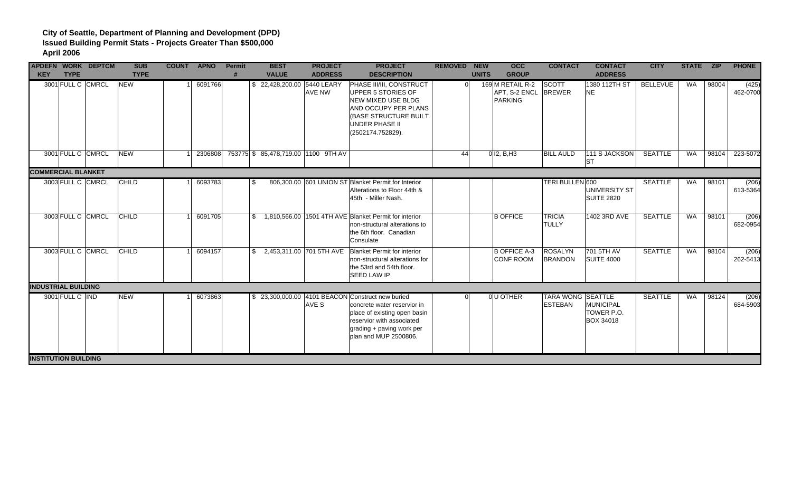|                             |                   | <b>APDEFN WORK DEPTCM</b> | <b>SUB</b>   | <b>COUNT APNO</b> | Permit | <b>BEST</b>                         | <b>PROJECT</b> | <b>PROJECT</b>                                                                                                                                                                                     | <b>REMOVED NEW</b> |              | occ                                          | <b>CONTACT</b>                             | <b>CONTACT</b>                                     | <b>CITY</b>     | STATE ZIP |       | <b>PHONE</b>      |
|-----------------------------|-------------------|---------------------------|--------------|-------------------|--------|-------------------------------------|----------------|----------------------------------------------------------------------------------------------------------------------------------------------------------------------------------------------------|--------------------|--------------|----------------------------------------------|--------------------------------------------|----------------------------------------------------|-----------------|-----------|-------|-------------------|
| <b>KEY</b>                  | <b>TYPE</b>       |                           | <b>TYPE</b>  |                   |        | <b>VALUE</b>                        | <b>ADDRESS</b> | <b>DESCRIPTION</b>                                                                                                                                                                                 |                    | <b>UNITS</b> | <b>GROUP</b>                                 |                                            | <b>ADDRESS</b>                                     |                 |           |       |                   |
|                             | 3001 FULL C CMRCL |                           | <b>NEW</b>   | 6091766           |        | \$22,428,200.00 5440 LEARY          | AVE NW         | PHASE III/III, CONSTRUCT<br>UPPER 5 STORIES OF<br><b>NEW MIXED USE BLDG</b><br>AND OCCUPY PER PLANS<br>(BASE STRUCTURE BUILT<br><b>UNDER PHASE II</b><br>(2502174.752829).                         | $\Omega$           |              | 169 M RETAIL R-2<br>APT, S-2 ENCL<br>PARKING | SCOTT<br><b>BREWER</b>                     | 1380 112TH ST<br><b>NE</b>                         | <b>BELLEVUE</b> | WA        | 98004 | (425)<br>462-0700 |
|                             | 3001 FULL C CMRCL |                           | <b>NEW</b>   | 2306808           |        | 753775 \$ 85,478,719.00 1100 9TH AV |                |                                                                                                                                                                                                    | 44                 |              | $0$ I2, B, H3                                | <b>BILL AULD</b>                           | 111 S JACKSON<br><b>ST</b>                         | <b>SEATTLE</b>  | <b>WA</b> | 98104 | 223-5072          |
| <b>COMMERCIAL BLANKET</b>   |                   |                           |              |                   |        |                                     |                |                                                                                                                                                                                                    |                    |              |                                              |                                            |                                                    |                 |           |       |                   |
|                             | 3003 FULL C CMRCL |                           | <b>CHILD</b> | 6093783           | \$     |                                     |                | 806,300.00 601 UNION ST Blanket Permit for Interior<br>Alterations to Floor 44th &<br>45th - Miller Nash.                                                                                          |                    |              |                                              | TERI BULLEN 600                            | UNIVERSITY ST<br><b>SUITE 2820</b>                 | <b>SEATTLE</b>  | WA        | 98101 | (206)<br>613-5364 |
|                             | 3003 FULL C CMRCL |                           | <b>CHILD</b> | 6091705           |        |                                     |                | \$1,810,566.00 1501 4TH AVE Blanket Permit for interior<br>non-structural alterations to<br>the 6th floor. Canadian<br>Consulate                                                                   |                    |              | <b>B OFFICE</b>                              | <b>TRICIA</b><br><b>TULLY</b>              | 1402 3RD AVE                                       | <b>SEATTLE</b>  | WA        | 98101 | (206)<br>682-0954 |
|                             | 3003 FULL C CMRCL |                           | CHILD        | 6094157           |        | \$ 2,453,311.00 701 5TH AVE         |                | Blanket Permit for interior<br>non-structural alterations for<br>the 53rd and 54th floor.<br><b>SEED LAW IP</b>                                                                                    |                    |              | <b>B OFFICE A-3</b><br>CONF ROOM             | <b>ROSALYN</b><br><b>BRANDON</b>           | 701 5TH AV<br><b>SUITE 4000</b>                    | <b>SEATTLE</b>  | WA        | 98104 | (206)<br>262-5413 |
| <b>INDUSTRIAL BUILDING</b>  |                   |                           |              |                   |        |                                     |                |                                                                                                                                                                                                    |                    |              |                                              |                                            |                                                    |                 |           |       |                   |
|                             | 3001 FULL C IND   |                           | <b>NEW</b>   | 6073863           |        |                                     | AVE S          | \$23,300,000.00 4101 BEACON Construct new buried<br>concrete water reservior in<br>place of existing open basin<br>reservior with associated<br>grading + paving work per<br>plan and MUP 2500806. |                    |              | <b>OU OTHER</b>                              | <b>TARA WONG SEATTLE</b><br><b>ESTEBAN</b> | <b>MUNICIPAL</b><br>TOWER P.O.<br><b>BOX 34018</b> | <b>SEATTLE</b>  | WA        | 98124 | (206)<br>684-5903 |
| <b>INSTITUTION BUILDING</b> |                   |                           |              |                   |        |                                     |                |                                                                                                                                                                                                    |                    |              |                                              |                                            |                                                    |                 |           |       |                   |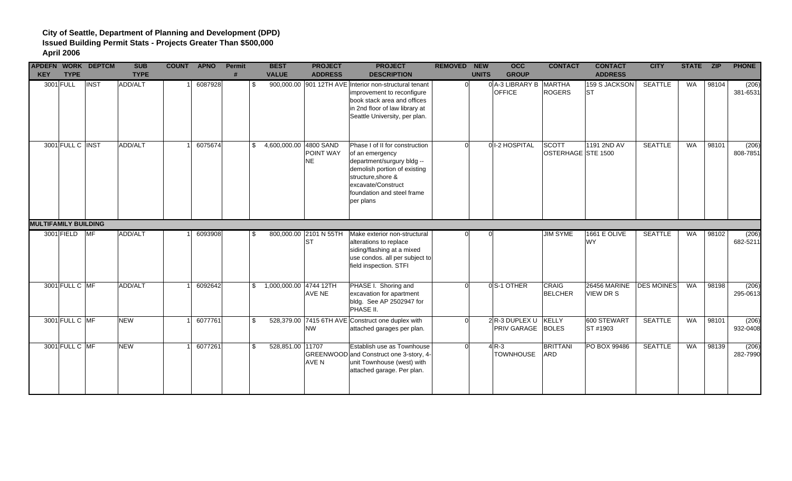| <b>KEY</b>                  | <b>TYPE</b>      | <b>APDEFN WORK DEPTCM</b> | <b>SUB</b><br><b>TYPE</b> | <b>COUNT APNO</b> | Permit<br>$\bf{H}$ | <b>BEST</b><br><b>VALUE</b> | <b>PROJECT</b><br><b>ADDRESS</b>    | <b>PROJECT</b><br><b>DESCRIPTION</b>                                                                                                                                                                   | <b>REMOVED NEW</b> | <b>UNITS</b> | <b>OCC</b><br><b>GROUP</b>       | <b>CONTACT</b>                 | <b>CONTACT</b><br><b>ADDRESS</b> | <b>CITY</b>       | STATE ZIP |       | <b>PHONE</b>      |
|-----------------------------|------------------|---------------------------|---------------------------|-------------------|--------------------|-----------------------------|-------------------------------------|--------------------------------------------------------------------------------------------------------------------------------------------------------------------------------------------------------|--------------------|--------------|----------------------------------|--------------------------------|----------------------------------|-------------------|-----------|-------|-------------------|
|                             | 3001 FULL        | <b>INST</b>               | ADD/ALT                   | 6087928           | \$                 |                             |                                     | 900,000.00 901 12TH AVE Interior non-structural tenant<br>improvement to reconfigure<br>book stack area and offices<br>in 2nd floor of law library at<br>Seattle University, per plan.                 | $\Omega$           |              | 0 A-3 LIBRARY B<br><b>OFFICE</b> | <b>MARTHA</b><br><b>ROGERS</b> | 159 S JACKSON<br><b>ST</b>       | <b>SEATTLE</b>    | WA        | 98104 | (206)<br>381-6531 |
|                             | 3001 FULL C INST |                           | ADD/ALT                   | 6075674           | \$                 | 4,600,000.00 4800 SAND      | POINT WAY<br><b>NE</b>              | Phase I of II for construction<br>of an emergency<br>department/surgury bldg --<br>demolish portion of existing<br>structure, shore &<br>excavate/Construct<br>foundation and steel frame<br>per plans | $\Omega$           |              | 0 1-2 HOSPITAL                   | SCOTT<br>OSTERHAGE STE 1500    | 1191 2ND AV                      | <b>SEATTLE</b>    | <b>WA</b> | 98101 | (206)<br>808-7851 |
| <b>MULTIFAMILY BUILDING</b> |                  |                           |                           |                   |                    |                             |                                     |                                                                                                                                                                                                        |                    |              |                                  |                                |                                  |                   |           |       |                   |
|                             | 3001 FIELD       | $M_F$                     | ADD/ALT                   | 6093908           | -S                 |                             | 800,000.00 2101 N 55TH<br><b>ST</b> | Make exterior non-structural<br>alterations to replace<br>siding/flashing at a mixed<br>use condos. all per subject to<br>field inspection. STFI                                                       |                    |              |                                  | <b>JIM SYME</b>                | <b>1661 E OLIVE</b><br><b>WY</b> | <b>SEATTLE</b>    | WA        | 98102 | (206)<br>682-5211 |
|                             | 3001 FULL C MF   |                           | ADD/ALT                   | 6092642           |                    | \$1,000,000.00 4744 12TH    | AVE NE                              | PHASE I. Shoring and<br>excavation for apartment<br>bldg. See AP 2502947 for<br>PHASE II.                                                                                                              | Ω                  |              | 0S-1 OTHER                       | <b>CRAIG</b><br><b>BELCHER</b> | 26456 MARINE<br><b>VIEW DR S</b> | <b>DES MOINES</b> | WA        | 98198 | (206)<br>295-0613 |
|                             | 3001 FULL C MF   |                           | <b>NEW</b>                | 6077761           | \$                 |                             | <b>NW</b>                           | 528,379.00 7415 6TH AVE Construct one duplex with<br>attached garages per plan.                                                                                                                        | ΩL                 |              | 2 R-3 DUPLEX U<br>PRIV GARAGE    | KELLY<br><b>BOLES</b>          | 600 STEWART<br>ST #1903          | <b>SEATTLE</b>    | <b>WA</b> | 98101 | (206)<br>932-0408 |
|                             | 3001 FULL C MF   |                           | <b>NEW</b>                | 6077261           | \$                 | 528,851.00 11707            | AVE N                               | Establish use as Townhouse<br>GREENWOOD and Construct one 3-story, 4-<br>unit Townhouse (west) with<br>attached garage. Per plan.                                                                      | ΩI                 |              | $4R-3$<br><b>TOWNHOUSE</b>       | <b>BRITTANI</b><br><b>ARD</b>  | PO BOX 99486                     | <b>SEATTLE</b>    | <b>WA</b> | 98139 | (206)<br>282-7990 |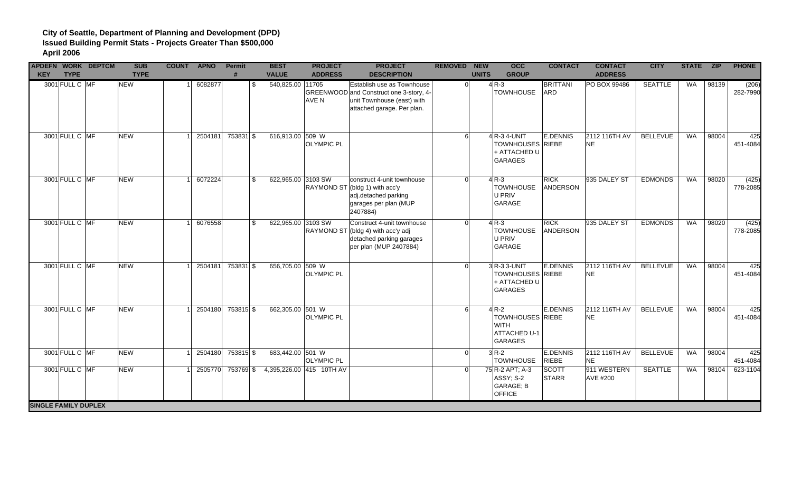| <b>APDEFN WORK DEPTCM</b><br><b>KEY</b> | <b>TYPE</b>    | <b>SUB</b><br><b>TYPE</b> | COUNT APNO |         | Permit<br># | <b>BEST</b><br><b>VALUE</b>       | <b>PROJECT</b><br><b>ADDRESS</b> | <b>PROJECT</b><br><b>DESCRIPTION</b>                                                                                              | <b>REMOVED NEW</b> | $\overline{occ}$<br><b>UNITS</b><br><b>GROUP</b>                                          | <b>CONTACT</b>                | <b>CONTACT</b><br><b>ADDRESS</b> | <b>CITY</b>     | STATE ZIP |       | <b>PHONE</b>      |
|-----------------------------------------|----------------|---------------------------|------------|---------|-------------|-----------------------------------|----------------------------------|-----------------------------------------------------------------------------------------------------------------------------------|--------------------|-------------------------------------------------------------------------------------------|-------------------------------|----------------------------------|-----------------|-----------|-------|-------------------|
|                                         | 3001 FULL C MF | <b>NEW</b>                |            | 6082877 |             | 540,825.00 11705<br>\$            | <b>AVE N</b>                     | Establish use as Townhouse<br>GREENWOOD and Construct one 3-story, 4-<br>unit Townhouse (east) with<br>attached garage. Per plan. | $\Omega$           | $4R-3$<br><b>TOWNHOUSE</b>                                                                | <b>BRITTANI</b><br><b>ARD</b> | PO BOX 99486                     | <b>SEATTLE</b>  | WA        | 98139 | (206)<br>282-7990 |
|                                         | 3001 FULL C MF | <b>NEW</b>                |            | 2504181 | 753831 \$   | 616,913.00 509 W                  | <b>OLYMPIC PL</b>                |                                                                                                                                   | 61                 | $4$ R-3 4-UNIT<br><b>TOWNHOUSES RIEBE</b><br>+ ATTACHED U<br><b>GARAGES</b>               | <b>E.DENNIS</b>               | 2112 116TH AV<br><b>NE</b>       | <b>BELLEVUE</b> | WA        | 98004 | 425<br>451-4084   |
|                                         | 3001 FULL C MF | <b>NEW</b>                |            | 6072224 |             | $\mathfrak{L}$                    | 622,965.00 3103 SW               | construct 4-unit townhouse<br>RAYMOND ST (bldg 1) with acc'y<br>adj.detached parking<br>garages per plan (MUP<br>2407884)         | <sub>0</sub>       | $4R-3$<br><b>TOWNHOUSE</b><br>U PRIV<br>GARAGE                                            | <b>RICK</b><br>ANDERSON       | 935 DALEY ST                     | <b>EDMONDS</b>  | <b>WA</b> | 98020 | (425)<br>778-2085 |
|                                         | 3001 FULL C MF | <b>NEW</b>                |            | 6076558 |             | $\mathbb{S}$                      | 622,965.00 3103 SW               | Construct 4-unit townhouse<br>RAYMOND ST (bldg 4) with acc'y adj<br>detached parking garages<br>per plan (MUP 2407884)            | $\Omega$           | $4R-3$<br><b>TOWNHOUSE</b><br>U PRIV<br>GARAGE                                            | <b>RICK</b><br>ANDERSON       | 935 DALEY ST                     | <b>EDMONDS</b>  | <b>WA</b> | 98020 | (425)<br>778-2085 |
|                                         | 3001 FULL C MF | <b>NEW</b>                |            | 2504181 | 753831 \$   | 656,705.00 509 W                  | <b>OLYMPIC PL</b>                |                                                                                                                                   | $\Omega$           | $3R-33$ -UNIT<br><b>TOWNHOUSES RIEBE</b><br>+ ATTACHED U<br><b>GARAGES</b>                | <b>E.DENNIS</b>               | 2112 116TH AV<br><b>NE</b>       | <b>BELLEVUE</b> | <b>WA</b> | 98004 | 425<br>451-4084   |
|                                         | 3001 FULL C MF | <b>NEW</b>                |            | 2504180 | 753815 \$   | 662,305.00 501 W                  | <b>OLYMPIC PL</b>                |                                                                                                                                   | 6 <sup>1</sup>     | $4R-2$<br><b>TOWNHOUSES RIEBE</b><br><b>WITH</b><br><b>ATTACHED U-1</b><br><b>GARAGES</b> | <b>E.DENNIS</b>               | 2112 116TH AV<br><b>NE</b>       | <b>BELLEVUE</b> | WA        | 98004 | 425<br>451-4084   |
|                                         | 3001 FULL C MF | <b>NEW</b>                |            | 2504180 | 753815 \$   | 683,442.00 501 W                  | <b>OLYMPIC PL</b>                |                                                                                                                                   | $\Omega$           | $3R-2$<br><b>TOWNHOUSE</b>                                                                | E.DENNIS<br><b>RIEBE</b>      | 2112 116TH AV<br><b>NE</b>       | <b>BELLEVUE</b> | <b>WA</b> | 98004 | 425<br>451-4084   |
|                                         | 3001 FULL C MF | <b>NEW</b>                |            | 2505770 |             | 753769 \$4,395,226.00 415 10TH AV |                                  |                                                                                                                                   | $\Omega$           | 75 R-2 APT; A-3<br>ASSY; S-2<br>GARAGE; B<br><b>OFFICE</b>                                | SCOTT<br><b>STARR</b>         | 911 WESTERN<br>AVE #200          | <b>SEATTLE</b>  | <b>WA</b> | 98104 | 623-1104          |
| <b>SINGLE FAMILY DUPLEX</b>             |                |                           |            |         |             |                                   |                                  |                                                                                                                                   |                    |                                                                                           |                               |                                  |                 |           |       |                   |